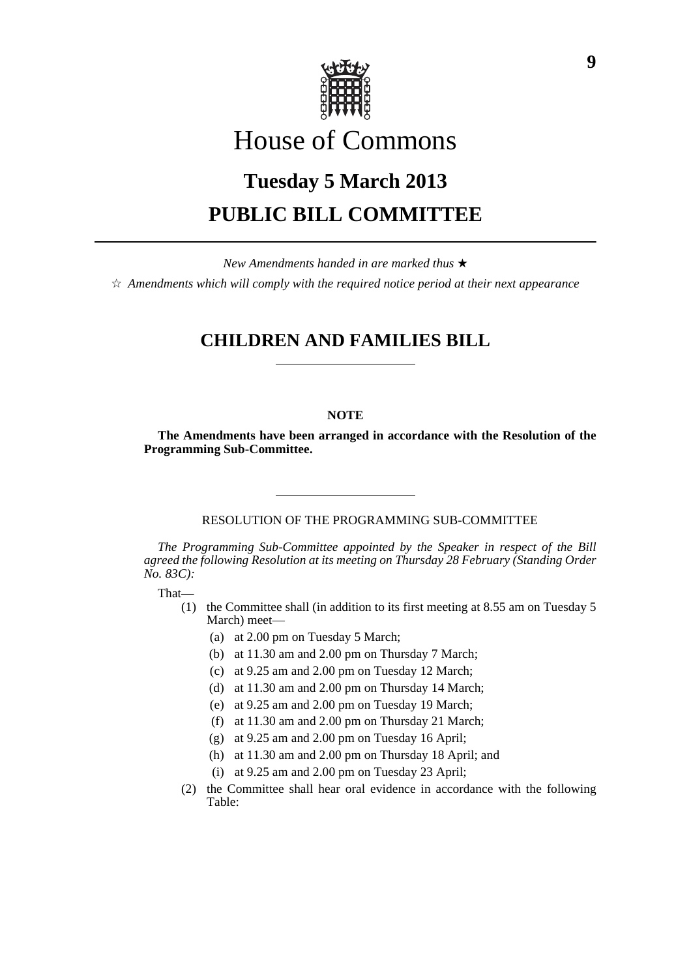

# House of Commons

# **Tuesday 5 March 2013 PUBLIC BILL COMMITTEE**

*New Amendments handed in are marked thus* \*

 $\dot{\varphi}$  *Amendments which will comply with the required notice period at their next appearance* 

# **CHILDREN AND FAMILIES BILL**

### **NOTE**

**The Amendments have been arranged in accordance with the Resolution of the Programming Sub-Committee.**

RESOLUTION OF THE PROGRAMMING SUB-COMMITTEE

*The Programming Sub-Committee appointed by the Speaker in respect of the Bill agreed the following Resolution at its meeting on Thursday 28 February (Standing Order No. 83C):*

That—

- (1) the Committee shall (in addition to its first meeting at 8.55 am on Tuesday 5 March) meet—
	- (a) at 2.00 pm on Tuesday 5 March;
	- (b) at 11.30 am and 2.00 pm on Thursday 7 March;
	- (c) at 9.25 am and 2.00 pm on Tuesday 12 March;
	- (d) at 11.30 am and 2.00 pm on Thursday 14 March;
	- (e) at 9.25 am and 2.00 pm on Tuesday 19 March;
	- (f) at 11.30 am and 2.00 pm on Thursday 21 March;
	- (g) at 9.25 am and 2.00 pm on Tuesday 16 April;
	- (h) at 11.30 am and 2.00 pm on Thursday 18 April; and
	- (i) at 9.25 am and 2.00 pm on Tuesday 23 April;
- (2) the Committee shall hear oral evidence in accordance with the following Table: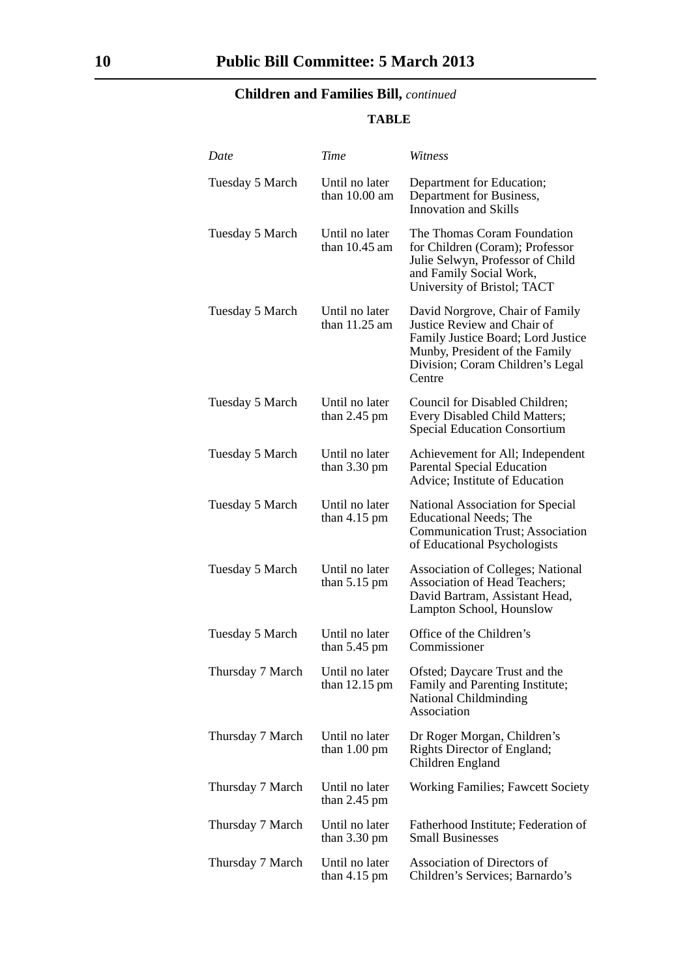# **Children and Families Bill,** *continued*

## **TABLE**

| Date             | Time                                     | Witness                                                                                                                                                                              |
|------------------|------------------------------------------|--------------------------------------------------------------------------------------------------------------------------------------------------------------------------------------|
| Tuesday 5 March  | Until no later<br>than $10.00$ am        | Department for Education;<br>Department for Business,<br><b>Innovation and Skills</b>                                                                                                |
| Tuesday 5 March  | Until no later<br>than $10.45$ am        | The Thomas Coram Foundation<br>for Children (Coram); Professor<br>Julie Selwyn, Professor of Child<br>and Family Social Work,<br>University of Bristol; TACT                         |
| Tuesday 5 March  | Until no later<br>than 11.25 am          | David Norgrove, Chair of Family<br>Justice Review and Chair of<br>Family Justice Board; Lord Justice<br>Munby, President of the Family<br>Division; Coram Children's Legal<br>Centre |
| Tuesday 5 March  | Until no later<br>than $2.45$ pm         | Council for Disabled Children;<br>Every Disabled Child Matters;<br><b>Special Education Consortium</b>                                                                               |
| Tuesday 5 March  | Until no later<br>than $3.30 \text{ pm}$ | Achievement for All; Independent<br><b>Parental Special Education</b><br>Advice; Institute of Education                                                                              |
| Tuesday 5 March  | Until no later<br>than $4.15$ pm         | National Association for Special<br><b>Educational Needs; The</b><br><b>Communication Trust</b> ; Association<br>of Educational Psychologists                                        |
| Tuesday 5 March  | Until no later<br>than $5.15 \text{ pm}$ | <b>Association of Colleges; National</b><br>Association of Head Teachers;<br>David Bartram, Assistant Head,<br>Lampton School, Hounslow                                              |
| Tuesday 5 March  | Until no later<br>than $5.45$ pm         | Office of the Children's<br>Commissioner                                                                                                                                             |
| Thursday 7 March | Until no later<br>than $12.15$ pm        | Ofsted; Daycare Trust and the<br>Family and Parenting Institute;<br>National Childminding<br>Association                                                                             |
| Thursday 7 March | Until no later<br>than $1.00 \text{ pm}$ | Dr Roger Morgan, Children's<br>Rights Director of England;<br>Children England                                                                                                       |
| Thursday 7 March | Until no later<br>than $2.45$ pm         | <b>Working Families</b> ; Fawcett Society                                                                                                                                            |
| Thursday 7 March | Until no later<br>than $3.30 \text{ pm}$ | Fatherhood Institute; Federation of<br><b>Small Businesses</b>                                                                                                                       |
| Thursday 7 March | Until no later<br>than $4.15$ pm         | Association of Directors of<br>Children's Services; Barnardo's                                                                                                                       |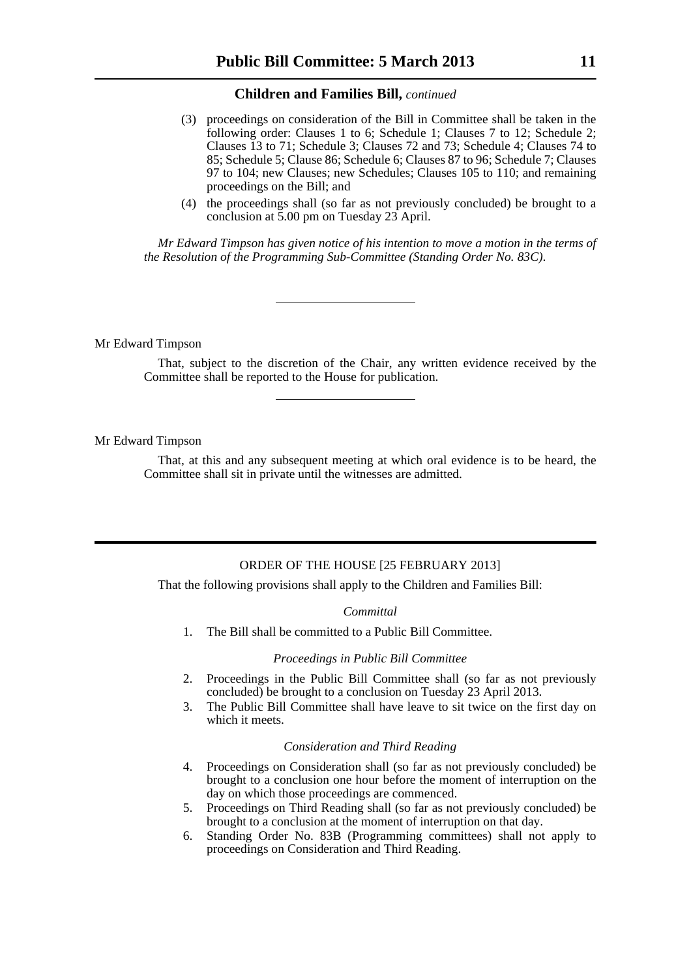#### **Children and Families Bill,** *continued*

- (3) proceedings on consideration of the Bill in Committee shall be taken in the following order: Clauses 1 to 6; Schedule 1; Clauses 7 to 12; Schedule 2; Clauses 13 to 71; Schedule 3; Clauses 72 and 73; Schedule 4; Clauses 74 to 85; Schedule 5; Clause 86; Schedule 6; Clauses 87 to 96; Schedule 7; Clauses 97 to 104; new Clauses; new Schedules; Clauses 105 to 110; and remaining proceedings on the Bill; and
- (4) the proceedings shall (so far as not previously concluded) be brought to a conclusion at 5.00 pm on Tuesday 23 April.

*Mr Edward Timpson has given notice of his intention to move a motion in the terms of the Resolution of the Programming Sub-Committee (Standing Order No. 83C).*

Mr Edward Timpson

That, subject to the discretion of the Chair, any written evidence received by the Committee shall be reported to the House for publication.

Mr Edward Timpson

That, at this and any subsequent meeting at which oral evidence is to be heard, the Committee shall sit in private until the witnesses are admitted.

### ORDER OF THE HOUSE [25 FEBRUARY 2013]

That the following provisions shall apply to the Children and Families Bill:

#### *Committal*

1. The Bill shall be committed to a Public Bill Committee.

#### *Proceedings in Public Bill Committee*

- 2. Proceedings in the Public Bill Committee shall (so far as not previously concluded) be brought to a conclusion on Tuesday 23 April 2013.
- 3. The Public Bill Committee shall have leave to sit twice on the first day on which it meets.

#### *Consideration and Third Reading*

- 4. Proceedings on Consideration shall (so far as not previously concluded) be brought to a conclusion one hour before the moment of interruption on the day on which those proceedings are commenced.
- 5. Proceedings on Third Reading shall (so far as not previously concluded) be brought to a conclusion at the moment of interruption on that day.
- 6. Standing Order No. 83B (Programming committees) shall not apply to proceedings on Consideration and Third Reading.